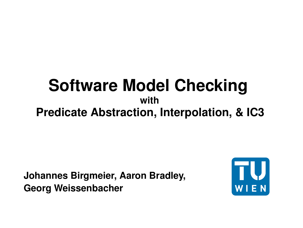# **Software Model Checking with Predicate Abstraction, Interpolation, & IC3**

**Johannes Birgmeier, Aaron Bradley, Georg Weissenbacher**

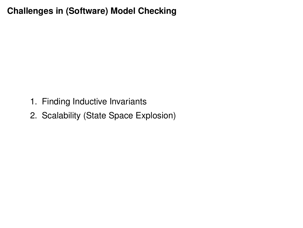# **Challenges in (Software) Model Checking**

- 1. Finding Inductive Invariants
- 2. Scalability (State Space Explosion)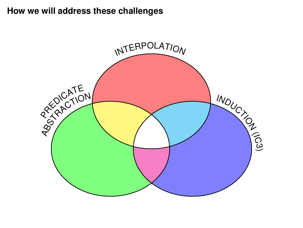# **How we will address these challenges**

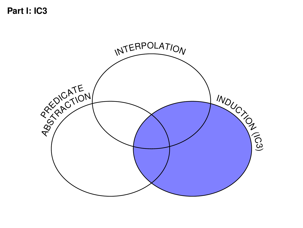**Part I: IC3**

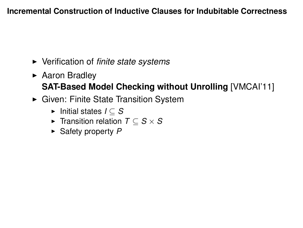#### **Incremental Construction of Inductive Clauses for Indubitable Correctness**

- ► Verification of *finite state systems*
- $\triangleright$  Aaron Bradley **SAT-Based Model Checking without Unrolling** [VMCAI'11]
- ► Given: Finite State Transition System
	- <sup>I</sup> Initial states *I* ⊆ *S*
	- <sup>I</sup> Transition relation *T* ⊆ *S* × *S*
	- ► Safety property P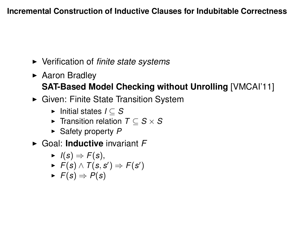#### **Incremental Construction of Inductive Clauses for Indubitable Correctness**

- ► Verification of *finite state systems*
- $\triangleright$  Aaron Bradley **SAT-Based Model Checking without Unrolling** [VMCAI'11]
- ► Given: Finite State Transition System
	- <sup>I</sup> Initial states *I* ⊆ *S*
	- <sup>I</sup> Transition relation *T* ⊆ *S* × *S*
	- ► Safety property P
- ▶ Goal: **Inductive** invariant F
	- $\blacktriangleright$  *I*(*s*)  $\Rightarrow$  *F*(*s*),
	- ►  $F(s) \wedge T(s, s') \Rightarrow F(s')$
	- $\blacktriangleright$  *F*(*s*) ⇒ *P*(*s*)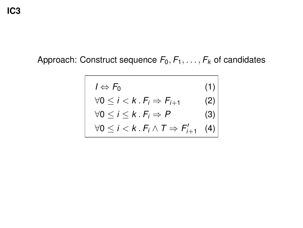**IC3**

# Approach: Construct sequence  $F_0, F_1, \ldots, F_k$  of candidates

$$
l \Leftrightarrow F_0
$$
\n
$$
\forall 0 \le i < k \cdot F_i \Rightarrow F_{i+1}
$$
\n
$$
\forall 0 \le i \le k \cdot F_i \Rightarrow P
$$
\n
$$
\forall 0 \le i < k \cdot F_i \land T \Rightarrow F'_{i+1}
$$
\n
$$
(4)
$$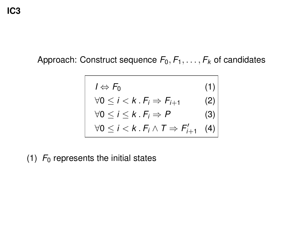**IC3**

Approach: Construct sequence  $F_0, F_1, \ldots, F_k$  of candidates

$$
l \Leftrightarrow F_0
$$
\n
$$
\forall 0 \le i < k \cdot F_i \Rightarrow F_{i+1}
$$
\n
$$
\forall 0 \le i \le k \cdot F_i \Rightarrow P
$$
\n
$$
\forall 0 \le i < k \cdot F_i \land T \Rightarrow F'_{i+1}
$$
\n
$$
(4)
$$

(1)  $F_0$  represents the initial states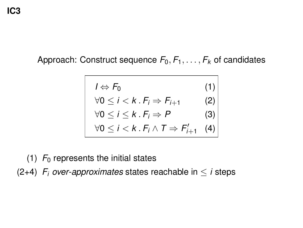Approach: Construct sequence  $F_0, F_1, \ldots, F_k$  of candidates

$$
I \Leftrightarrow F_0
$$
(1)  
\n
$$
\forall 0 \le i < k . F_i \Rightarrow F_{i+1}
$$
(2)  
\n
$$
\forall 0 \le i \le k . F_i \Rightarrow P
$$
(3)  
\n
$$
\forall 0 \le i < k . F_i \land T \Rightarrow F'_{i+1}
$$
(4)

(1)  $F_0$  represents the initial states

(2+4)  $F_i$  *over-approximates* states reachable in  $\leq i$  steps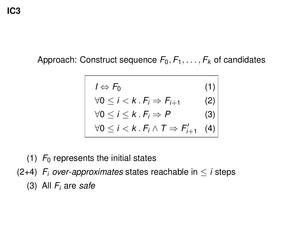Approach: Construct sequence  $F_0, F_1, \ldots, F_k$  of candidates

$$
I \Leftrightarrow F_0
$$
(1)  
\n
$$
\forall 0 \le i < k . F_i \Rightarrow F_{i+1}
$$
(2)  
\n
$$
\forall 0 \le i \le k . F_i \Rightarrow P
$$
(3)  
\n
$$
\forall 0 \le i < k . F_i \land T \Rightarrow F'_{i+1}
$$
(4)

(1)  $F_0$  represents the initial states

(2+4)  $F_i$  *over-approximates* states reachable in  $\leq i$  steps

(3) All *F<sup>i</sup>* are *safe*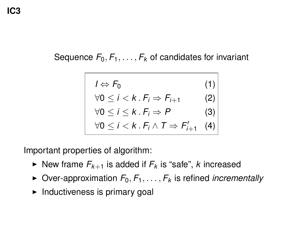Sequence  $F_0, F_1, \ldots, F_k$  of candidates for invariant

$$
I \Leftrightarrow F_0 \qquad (1)
$$
  
\n
$$
\forall 0 \le i < k . F_i \Rightarrow F_{i+1} \qquad (2)
$$
  
\n
$$
\forall 0 \le i \le k . F_i \Rightarrow P \qquad (3)
$$
  
\n
$$
\forall 0 \le i < k . F_i \land T \Rightarrow F'_{i+1} \qquad (4)
$$

Important properties of algorithm:

- $\blacktriangleright$  New frame  $F_{k+1}$  is added if  $F_k$  is "safe", *k* increased
- $\triangleright$  Over-approximation  $F_0, F_1, \ldots, F_k$  is refined *incrementally*
- $\blacktriangleright$  Inductiveness is primary goal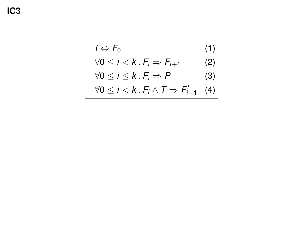$$
I \Leftrightarrow F_0 \tag{1}
$$
  
\n
$$
\forall 0 \le i < k \cdot F_i \Rightarrow F_{i+1} \tag{2}
$$
  
\n
$$
\forall 0 \le i \le k \cdot F_i \Rightarrow P \tag{3}
$$
  
\n
$$
\forall 0 \le i < k \cdot F_i \land T \Rightarrow F'_{i+1} \tag{4}
$$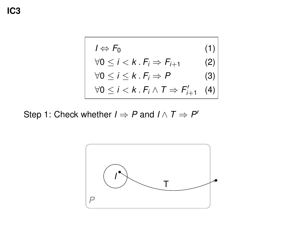$$
I \Leftrightarrow F_0 \tag{1}
$$
  
\n
$$
\forall 0 \le i < k \cdot F_i \Rightarrow F_{i+1} \tag{2}
$$
  
\n
$$
\forall 0 \le i \le k \cdot F_i \Rightarrow P \tag{3}
$$
  
\n
$$
\forall 0 \le i < k \cdot F_i \land T \Rightarrow F'_{i+1} \tag{4}
$$

Step 1: Check whether  $I \Rightarrow P$  and  $I \wedge T \Rightarrow P'$ 

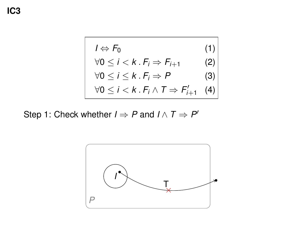$$
I \Leftrightarrow F_0 \tag{1}
$$
  
\n
$$
\forall 0 \le i < k \cdot F_i \Rightarrow F_{i+1} \tag{2}
$$
  
\n
$$
\forall 0 \le i \le k \cdot F_i \Rightarrow P \tag{3}
$$
  
\n
$$
\forall 0 \le i < k \cdot F_i \land T \Rightarrow F'_{i+1} \tag{4}
$$

Step 1: Check whether  $I \Rightarrow P$  and  $I \wedge T \Rightarrow P'$ 

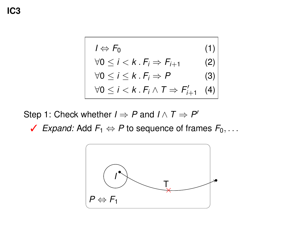$$
I \Leftrightarrow F_0 \tag{1}
$$
  
\n
$$
\forall 0 \le i < k \cdot F_i \Rightarrow F_{i+1} \tag{2}
$$
  
\n
$$
\forall 0 \le i \le k \cdot F_i \Rightarrow P \tag{3}
$$
  
\n
$$
\forall 0 \le i < k \cdot F_i \land T \Rightarrow F'_{i+1} \tag{4}
$$

Step 1: Check whether  $I \Rightarrow P$  and  $I \wedge T \Rightarrow P'$ 

✓ *Expand:* Add *F*<sup>1</sup> ⇔ *P* to sequence of frames *F*0, . . .

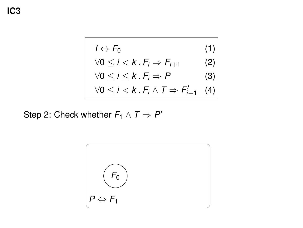**IC3**

$$
I \Leftrightarrow F_0 \tag{1}
$$
  
\n
$$
\forall 0 \le i < k \cdot F_i \Rightarrow F_{i+1} \tag{2}
$$
  
\n
$$
\forall 0 \le i \le k \cdot F_i \Rightarrow P \tag{3}
$$
  
\n
$$
\forall 0 \le i < k \cdot F_i \land T \Rightarrow F'_{i+1} \tag{4}
$$

Step 2: Check whether  $F_1 \wedge T \Rightarrow P'$ 

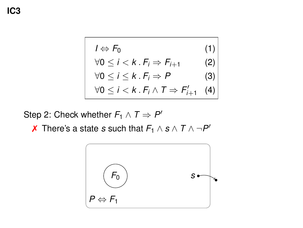$$
I \Leftrightarrow F_0 \tag{1}
$$
  
\n
$$
\forall 0 \le i < k \cdot F_i \Rightarrow F_{i+1} \tag{2}
$$
  
\n
$$
\forall 0 \le i \le k \cdot F_i \Rightarrow P \tag{3}
$$
  
\n
$$
\forall 0 \le i < k \cdot F_i \land T \Rightarrow F'_{i+1} \tag{4}
$$

Step 2: Check whether  $F_1 \wedge T \Rightarrow P'$ 

**∕** There's a state *s* such that  $F_1 \wedge s \wedge T \wedge \neg P'$ 

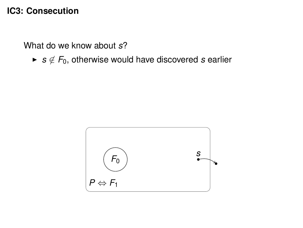What do we know about *s*?

► *s*  $\notin$  *F*<sub>0</sub>, otherwise would have discovered *s* earlier

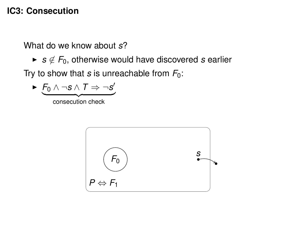What do we know about *s*?

► *s*  $\notin$  *F*<sub>0</sub>, otherwise would have discovered *s* earlier

Try to show that *s* is unreachable from  $F_0$ :

$$
\triangleright \underbrace{F_0 \land \neg s \land T \Rightarrow \neg s'}_{\text{consection check}}
$$

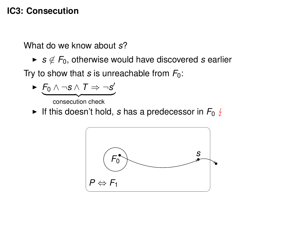What do we know about *s*?

► *s*  $\notin$  *F*<sub>0</sub>, otherwise would have discovered *s* earlier

Try to show that *s* is unreachable from  $F_0$ :

$$
\blacktriangleright \underbrace{F_0 \land \neg s \land T \Rightarrow \neg s'}_{\text{consection check}}
$$

If this doesn't hold, *s* has a predecessor in  $F_0 \notin$ 

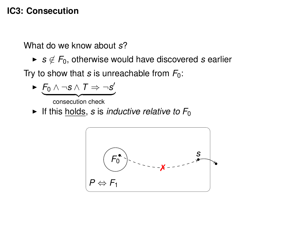What do we know about *s*?

► *s*  $\notin$  *F*<sub>0</sub>, otherwise would have discovered *s* earlier

Try to show that *s* is unreachable from  $F_0$ :

$$
\qquad \qquad \overbrace{\qquad \qquad \text{consection check}}^{\qquad \qquad \overbrace{\qquad \qquad \text{consection check}}^{\qquad \qquad \overbrace{\qquad \qquad \text{consection check}}^{\qquad \qquad \overbrace{\qquad \qquad \text{consection check}}^{\qquad \qquad \overbrace{\qquad \qquad \text{consection check}}^{\qquad \qquad \overbrace{\qquad \qquad \text{consection check}}^{\qquad \qquad \overbrace{\qquad \qquad \text{consection check}}^{\qquad \qquad \overbrace{\qquad \qquad \text{consection check}}^{\qquad \qquad \overbrace{\qquad \qquad \text{consection check}}^{\qquad \qquad \overbrace{\qquad \qquad \text{consection check}}^{\qquad \qquad \overbrace{\qquad \qquad \text{consection check}}^{\qquad \qquad \overbrace{\qquad \qquad \text{consection check}}^{\qquad \qquad \overbrace{\qquad \qquad \text{consection check}}^{\qquad \qquad \overbrace{\qquad \qquad \text{consection.}}^{\qquad \qquad \overbrace{\qquad \qquad \text{consection.}}^{\qquad \qquad \overbrace{\qquad \qquad \text{consection.}}^{\qquad \qquad \overbrace{\qquad \qquad \text{consection.}}^{\qquad \qquad \overbrace{\qquad \qquad \text{consection.}}^{\qquad \qquad \overbrace{\qquad \qquad \text{consection.}}^{\qquad \qquad \overbrace{\qquad \qquad \text{consection.}}^{\qquad \qquad \overbrace{\qquad \qquad \text{consection.}}^{\qquad \qquad \overbrace{\qquad \qquad \text{consection.}}^{\qquad \qquad \overbrace{\qquad \qquad \text{consection.}}^{\qquad \qquad \overbrace{\qquad \qquad \text{consection.}}^{\qquad \qquad \overbrace{\qquad \qquad \text{consection.}}^{\qquad \qquad \overbrace{\qquad \qquad \text{consection.}}^{\qquad \qquad \overbrace{\qquad \qquad \text{consection.}}^{\qquad \qquad \overbrace{\qquad \qquad \text{consection.}}^{\qquad \qquad \overbrace{\qquad \qquad \text{consection.}}^{\qquad \qquad \overbrace{\qquad \qquad \text{consection.}}^{\qquad \qquad \overbrace{\qquad \qquad \text{consection.}}^{\qquad \qquad \overbrace{\qquad \qquad \text{consection.}}^{\qquad \qquad \overbrace{\qquad \qquad \text{consection.}}^{\
$$

If this holds, *s* is *inductive relative to*  $F_0$ 

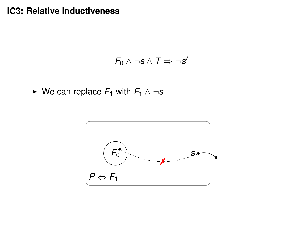## **IC3: Relative Inductiveness**

$$
\textit{F}_0 \wedge \neg s \wedge \textit{T} \Rightarrow \neg s'
$$

 $\triangleright$  We can replace  $F_1$  with  $F_1 \wedge \neg s$ 

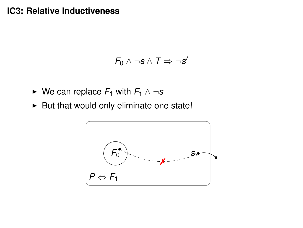#### **IC3: Relative Inductiveness**

$$
F_0 \wedge \neg s \wedge T \Rightarrow \neg s'
$$

- $\triangleright$  We can replace  $F_1$  with  $F_1 \wedge \neg s$
- $\blacktriangleright$  But that would only eliminate one state!

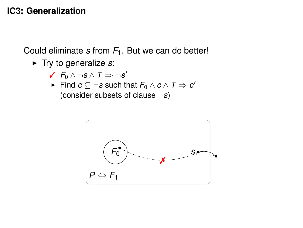## **IC3: Generalization**

Could eliminate *s* from *F*1. But we can do better!

- ► Try to generalize *s*:
	- ✓ *F*<sup>0</sup> ∧ ¬*s* ∧ *T* ⇒ ¬*s* 0
	- $\blacktriangleright$  Find  $c \subseteq \neg s$  such that  $F_0 \land c \land T \Rightarrow c'$ (consider subsets of clause ¬*s*)

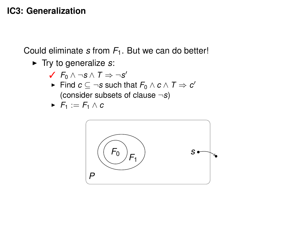# **IC3: Generalization**

Could eliminate *s* from *F*1. But we can do better!

 $\blacktriangleright$  Try to generalize  $s$ :

$$
\checkmark \ \mathit{F}_0 \land \neg s \land \mathit{T} \Rightarrow \neg s'
$$

 $\blacktriangleright$  Find  $c \subseteq \neg s$  such that  $F_0 \land c \land T \Rightarrow c'$ (consider subsets of clause ¬*s*)

$$
\blacktriangleright \ \ F_1 := F_1 \wedge c
$$

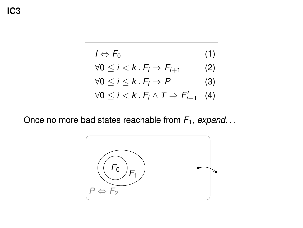$$
I \Leftrightarrow F_0
$$
(1)  
\n
$$
\forall 0 \le i < k . F_i \Rightarrow F_{i+1}
$$
(2)  
\n
$$
\forall 0 \le i \le k . F_i \Rightarrow P
$$
(3)  
\n
$$
\forall 0 \le i < k . F_i \land T \Rightarrow F'_{i+1}
$$
(4)

Once no more bad states reachable from *F*1, *expand. . .*

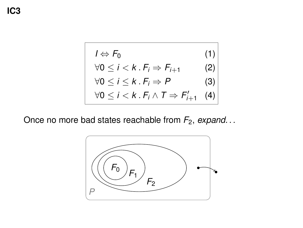| $I \Leftrightarrow F_0$                                       | (1) |
|---------------------------------------------------------------|-----|
| $\forall 0 \leq i < k \cdot F_i \Rightarrow F_{i+1}$          | (2) |
| $\forall 0 \leq i \leq k \cdot F_i \Rightarrow P$             | (3) |
| $\forall 0 \leq i < k \cdot F_i \land T \Rightarrow F'_{i+1}$ | (4) |

Once no more bad states reachable from *F*2, *expand. . .*

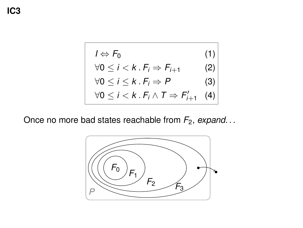$$
I \Leftrightarrow F_0
$$
(1)  
\n
$$
\forall 0 \le i < k . F_i \Rightarrow F_{i+1}
$$
(2)  
\n
$$
\forall 0 \le i \le k . F_i \Rightarrow P
$$
(3)  
\n
$$
\forall 0 \le i < k . F_i \land T \Rightarrow F'_{i+1}
$$
(4)

Once no more bad states reachable from *F*2, *expand. . .*

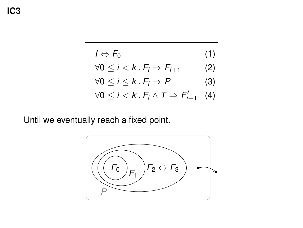$$
I \Leftrightarrow F_0
$$
(1)  
\n
$$
\forall 0 \le i < k . F_i \Rightarrow F_{i+1}
$$
(2)  
\n
$$
\forall 0 \le i \le k . F_i \Rightarrow P
$$
(3)  
\n
$$
\forall 0 \le i < k . F_i \land T \Rightarrow F'_{i+1}
$$
(4)

Until we eventually reach a fixed point.

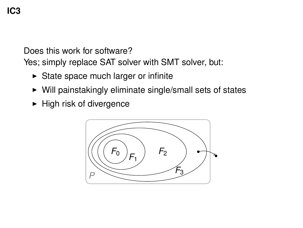Does this work for software?

Yes; simply replace SAT solver with SMT solver, but:

- $\triangleright$  State space much larger or infinite
- $\triangleright$  Will painstakingly eliminate single/small sets of states
- $\blacktriangleright$  High risk of divergence

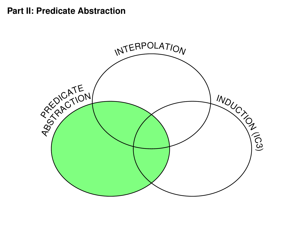#### **Part II: Predicate Abstraction**

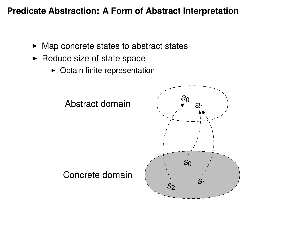## **Predicate Abstraction: A Form of Abstract Interpretation**

- $\blacktriangleright$  Map concrete states to abstract states
- $\blacktriangleright$  Reduce size of state space
	- $\triangleright$  Obtain finite representation

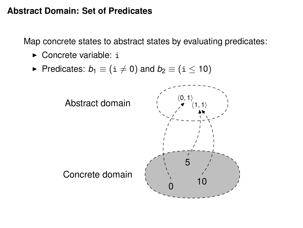#### **Abstract Domain: Set of Predicates**

Map concrete states to abstract states by evaluating predicates:

- $\triangleright$  Concrete variable: i
- Predicates:  $b_1 \equiv (i \neq 0)$  and  $b_2 \equiv (i \leq 10)$

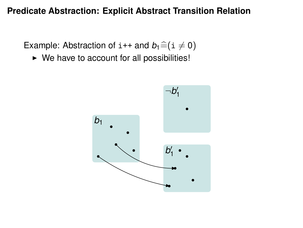#### **Predicate Abstraction: Explicit Abstract Transition Relation**

Example: Abstraction of  $i++$  and  $b_1 \hat{=} (i \neq 0)$ 

 $\triangleright$  We have to account for all possibilities!

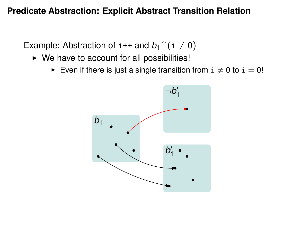#### **Predicate Abstraction: Explicit Abstract Transition Relation**

Example: Abstraction of  $i++$  and  $b_1 \hat{=} (i \neq 0)$ 

- $\triangleright$  We have to account for all possibilities!
	- Even if there is just a single transition from  $i \neq 0$  to  $i = 0$ !

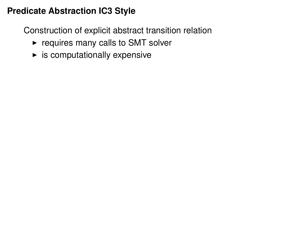Construction of explicit abstract transition relation

- $\blacktriangleright$  requires many calls to SMT solver
- $\blacktriangleright$  is computationally expensive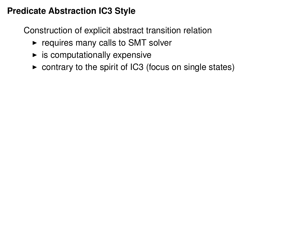Construction of explicit abstract transition relation

- $\triangleright$  requires many calls to SMT solver
- $\blacktriangleright$  is computationally expensive
- $\triangleright$  contrary to the spirit of IC3 (focus on single states)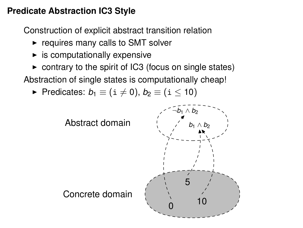Construction of explicit abstract transition relation

- $\triangleright$  requires many calls to SMT solver
- $\blacktriangleright$  is computationally expensive
- $\triangleright$  contrary to the spirit of IC3 (focus on single states)

Abstraction of single states is computationally cheap!

Predicates:  $b_1 \equiv (i \neq 0), b_2 \equiv (i \leq 10)$ 

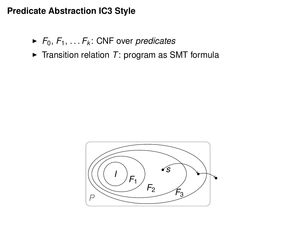- $\blacktriangleright$  *F*<sub>0</sub>, *F*<sub>1</sub>, ... *F*<sub>*k*</sub>: CNF over *predicates*
- $\triangleright$  Transition relation *T*: program as SMT formula

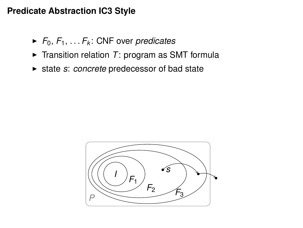- $\blacktriangleright$  *F*<sub>0</sub>, *F*<sub>1</sub>, ... *F*<sub>*k*</sub>: CNF over *predicates*
- $\triangleright$  Transition relation *T*: program as SMT formula
- ► state *s*: *concrete* predecessor of bad state

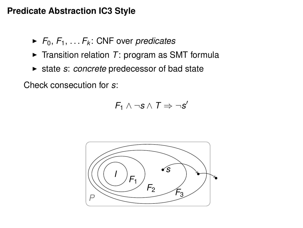- $\blacktriangleright$  *F*<sub>0</sub>, *F*<sub>1</sub>, . . . *F<sub>k</sub>*: CNF over *predicates*
- $\triangleright$  Transition relation *T*: program as SMT formula
- ► state *s*: *concrete* predecessor of bad state

Check consecution for *s*:

$$
\mathit{F}_1 \wedge \neg s \wedge \mathit{T} \Rightarrow \neg s'
$$

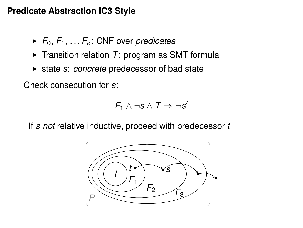- $\blacktriangleright$  *F*<sub>0</sub>, *F*<sub>1</sub>, ... *F*<sub>*k*</sub>: CNF over *predicates*
- $\triangleright$  Transition relation *T*: program as SMT formula
- ► state *s*: *concrete* predecessor of bad state

Check consecution for *s*:

$$
\mathit{F}_1 \wedge \neg s \wedge \mathit{T} \Rightarrow \neg s'
$$

If *s not* relative inductive, proceed with predecessor *t*

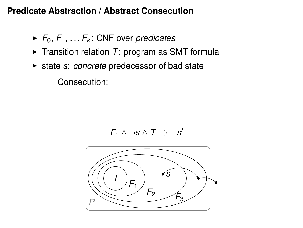- $\blacktriangleright$  *F*<sub>0</sub>, *F*<sub>1</sub>, ... *F<sub>k</sub>*: CNF over *predicates*
- $\triangleright$  Transition relation *T*: program as SMT formula
- ► state *s*: *concrete* predecessor of bad state

Consecution:

$$
\textit{F}_1 \wedge \neg s \wedge \textit{T} \Rightarrow \neg s'
$$

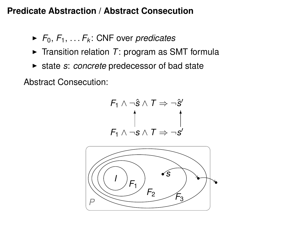- $\blacktriangleright$  *F*<sub>0</sub>, *F*<sub>1</sub>, ... *F*<sub>*k*</sub>: CNF over *predicates*
- $\triangleright$  Transition relation *T*: program as SMT formula
- ► state *s*: *concrete* predecessor of bad state

Abstract Consecution:

$$
F_1 \land \neg \hat{s} \land T \Rightarrow \neg \hat{s}'
$$
\n
$$
\uparrow
$$
\n
$$
F_1 \land \neg s \land T \Rightarrow \neg s'
$$

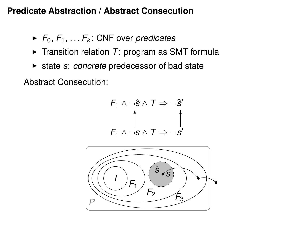- $\blacktriangleright$  *F*<sub>0</sub>, *F*<sub>1</sub>, ... *F*<sub>*k*</sub>: CNF over *predicates*
- $\triangleright$  Transition relation *T*: program as SMT formula
- ► state *s*: *concrete* predecessor of bad state

Abstract Consecution:

$$
F_1 \land \neg \hat{s} \land T \Rightarrow \neg \hat{s}'
$$
\n
$$
\uparrow
$$
\n
$$
F_1 \land \neg s \land T \Rightarrow \neg s'
$$

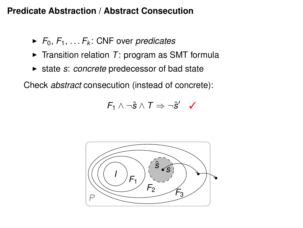- $\blacktriangleright$  *F*<sub>0</sub>, *F*<sub>1</sub>, ... *F*<sub>*k*</sub>: CNF over *predicates*
- $\triangleright$  Transition relation *T*: program as SMT formula
- ► state *s: concrete* predecessor of bad state

Check *abstract* consecution (instead of concrete):

$$
\textit{F}_1 \wedge \neg \hat{s} \wedge \textit{T} \Rightarrow \neg \hat{s}' \quad \textit{}
$$

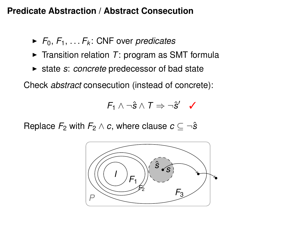- $\blacktriangleright$  *F*<sub>0</sub>, *F*<sub>1</sub>, ... *F*<sub>*k*</sub>: CNF over *predicates*
- $\triangleright$  Transition relation *T*: program as SMT formula
- ► state *s: concrete* predecessor of bad state

Check *abstract* consecution (instead of concrete):

$$
\textit{F}_1 \wedge \neg \hat{s} \wedge \textit{T} \Rightarrow \neg \hat{s}' \quad \textit{}
$$

Replace  $F_2$  with  $F_2 \wedge c$ , where clause  $c \subseteq \neg \hat{s}$ 

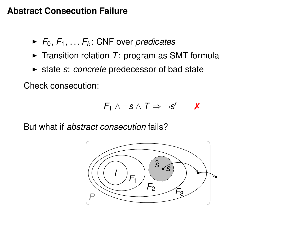## **Abstract Consecution Failure**

- $\blacktriangleright$  *F*<sub>0</sub>, *F*<sub>1</sub>, ... *F*<sub>*k*</sub>: CNF over *predicates*
- $\triangleright$  Transition relation *T*: program as SMT formula
- ► state *s: concrete* predecessor of bad state

Check consecution:

$$
\textit{F}_1 \wedge \neg s \wedge \textit{T} \Rightarrow \neg s' \qquad \textit{X}
$$

But what if *abstract consecution* fails?

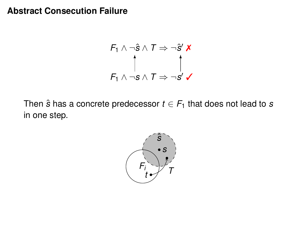#### **Abstract Consecution Failure**

$$
F_1 \land \neg \hat{s} \land T \Rightarrow \neg \hat{s}' \times
$$
  
\n
$$
\uparrow
$$
  
\n
$$
F_1 \land \neg s \land T \Rightarrow \neg s' \lor
$$

Then  $\hat{s}$  has a concrete predecessor  $t \in F_1$  that does not lead to  $s$ in one step.

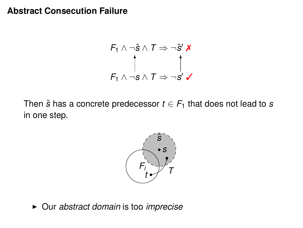#### **Abstract Consecution Failure**

$$
F_1 \land \neg \hat{s} \land T \Rightarrow \neg \hat{s}' \times
$$
  
\n
$$
\uparrow
$$
  
\n
$$
F_1 \land \neg s \land T \Rightarrow \neg s' \lor
$$

Then  $\hat{s}$  has a concrete predecessor  $t \in F_1$  that does not lead to  $s$ in one step.



▶ Our *abstract domain* is too *imprecise*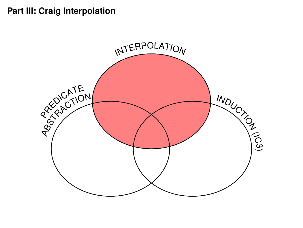# **Part III: Craig Interpolation**

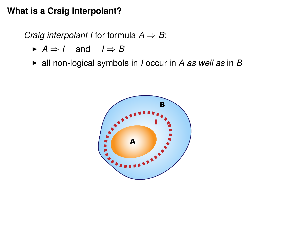## **What is a Craig Interpolant?**

*Craig interpolant I* for formula  $A \Rightarrow B$ :

- $\blacktriangleright$  *A*  $\Rightarrow$  *I* and *I*  $\Rightarrow$  *B*
- $\blacktriangleright$  all non-logical symbols in *I* occur in *A* as well as in *B*

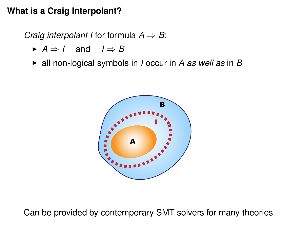## **What is a Craig Interpolant?**

*Craig interpolant I* for formula  $A \Rightarrow B$ :

- $\blacktriangleright$  *A*  $\Rightarrow$  *I* and *I*  $\Rightarrow$  *B*
- $\triangleright$  all non-logical symbols in *I* occur in *A as well as* in *B*



Can be provided by contemporary SMT solvers for many theories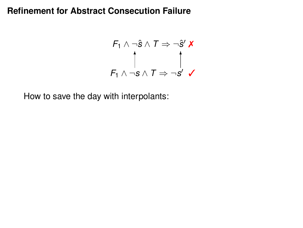$$
F_1 \wedge \neg \hat{s} \wedge T \Rightarrow \neg \hat{s}' \times
$$
  
\n
$$
\uparrow
$$
  
\n
$$
F_1 \wedge \neg s \wedge T \Rightarrow \neg s' \checkmark
$$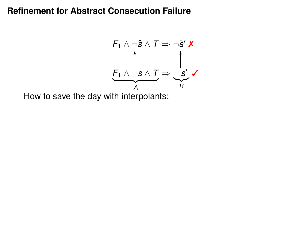$$
F_1 \wedge \neg \hat{s} \wedge T \Rightarrow \neg \hat{s}' \mathbf{X}
$$
\n
$$
\uparrow
$$
\n
$$
F_1 \wedge \neg s \wedge T \Rightarrow \neg \underline{s}' \mathbf{X}
$$
\n
$$
\xrightarrow{A} B
$$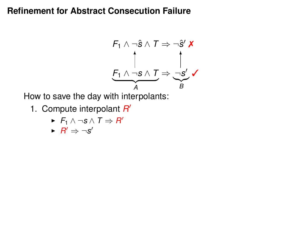$$
F_1 \wedge \neg \hat{s} \wedge T \Rightarrow \neg \hat{s}' \mathbf{X}
$$
\n
$$
\uparrow
$$
\n
$$
F_1 \wedge \neg s \wedge T \Rightarrow \neg s' \mathbf{X}
$$
\n
$$
A \qquad B
$$

- 1. Compute interpolant *R* 0
	- $\blacktriangleright$  *F*<sub>1</sub> ∧ ¬*s* ∧ *T*  $\Rightarrow$  *R*<sup> $\prime$ </sup>

$$
\vdash R' \Rightarrow \neg s'
$$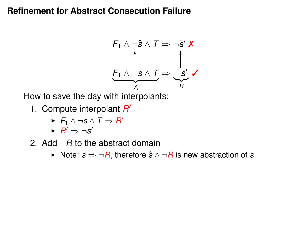$$
F_1 \wedge \neg \hat{s} \wedge T \Rightarrow \neg \hat{s}' \mathbf{X}
$$
\n
$$
\uparrow
$$
\n
$$
F_1 \wedge \neg s \wedge T \Rightarrow \neg s' \mathbf{X}
$$
\n
$$
A \qquad B
$$

- 1. Compute interpolant *R* 0
	- $\blacktriangleright$  *F*<sub>1</sub> ∧ ¬*s* ∧ *T*  $\Rightarrow$  *R*<sup> $\prime$ </sup>
	- $\blacktriangleright$   $R' \Rightarrow \neg s'$
- 2. Add  $\neg B$  to the abstract domain
	- <sup>I</sup> Note: *s* ⇒ ¬*R*, therefore *s*ˆ ∧ ¬*R* is new abstraction of *s*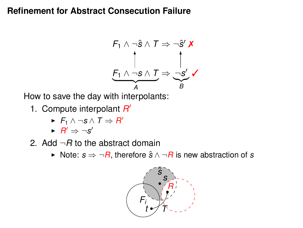$$
F_1 \wedge \neg \hat{s} \wedge T \Rightarrow \neg \hat{s}' \mathbf{X}
$$
\n
$$
\uparrow
$$
\n
$$
F_1 \wedge \neg s \wedge T \Rightarrow \neg s' \mathbf{X}
$$
\n
$$
A \qquad B
$$

- 1. Compute interpolant *R* 0
	- $\blacktriangleright$  *F*<sub>1</sub> ∧ ¬*s* ∧ *T*  $\Rightarrow$  *R*<sup> $\prime$ </sup>
	- $\blacktriangleright$   $R' \Rightarrow \neg s'$
- 2. Add  $\neg B$  to the abstract domain
	- <sup>I</sup> Note: *s* ⇒ ¬*R*, therefore *s*ˆ ∧ ¬*R* is new abstraction of *s*

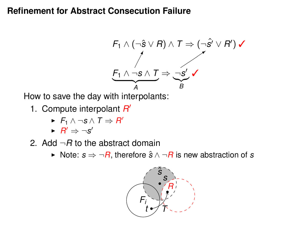

- 1. Compute interpolant *R* 0
	- $\blacktriangleright$  *F*<sub>1</sub> ∧ ¬*s* ∧ *T*  $\Rightarrow$  *R*<sup> $\prime$ </sup>
	- $\blacktriangleright$   $R' \Rightarrow \neg s'$
- 2. Add  $\neg B$  to the abstract domain
	- <sup>I</sup> Note: *s* ⇒ ¬*R*, therefore *s*ˆ ∧ ¬*R* is new abstraction of *s*

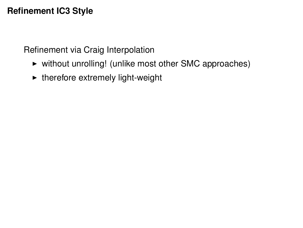# **Refinement IC3 Style**

Refinement via Craig Interpolation

- $\triangleright$  without unrolling! (unlike most other SMC approaches)
- $\blacktriangleright$  therefore extremely light-weight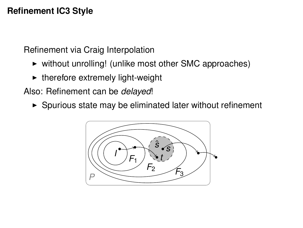# **Refinement IC3 Style**

Refinement via Craig Interpolation

- $\triangleright$  without unrolling! (unlike most other SMC approaches)
- $\blacktriangleright$  therefore extremely light-weight

Also: Refinement can be *delayed*!

 $\triangleright$  Spurious state may be eliminated later without refinement

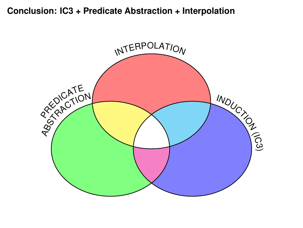## **Conclusion: IC3 + Predicate Abstraction + Interpolation**

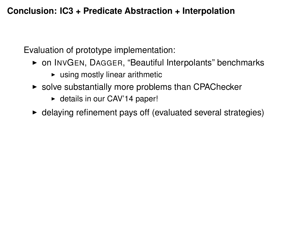# **Conclusion: IC3 + Predicate Abstraction + Interpolation**

Evaluation of prototype implementation:

- ▶ on INVGEN, DAGGER, "Beautiful Interpolants" benchmarks
	- $\blacktriangleright$  using mostly linear arithmetic
- $\triangleright$  solve substantially more problems than CPAChecker
	- $\blacktriangleright$  details in our CAV'14 paper!
- $\triangleright$  delaying refinement pays off (evaluated several strategies)